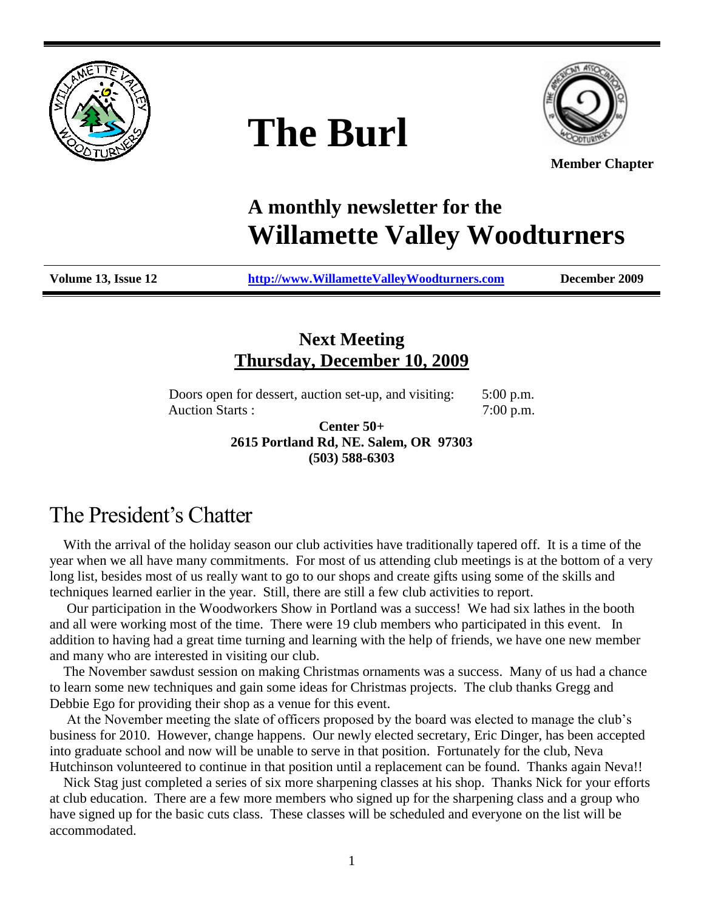

# **The Burl**



**Member Chapter**

# **A monthly newsletter for the Willamette Valley Woodturners**

**Volume 13, Issue 12 [http://www.WillametteValleyWoodturners.com](http://www.willamettevalleywoodturners.com/) December 2009**

## **Next Meeting Thursday, December 10, 2009**

Doors open for dessert, auction set-up, and visiting: 5:00 p.m. Auction Starts :  $7:00 \text{ p.m.}$ 

> **Center 50+ 2615 Portland Rd, NE. Salem, OR 97303 (503) 588-6303**

# The President's Chatter

With the arrival of the holiday season our club activities have traditionally tapered off. It is a time of the year when we all have many commitments. For most of us attending club meetings is at the bottom of a very long list, besides most of us really want to go to our shops and create gifts using some of the skills and techniques learned earlier in the year. Still, there are still a few club activities to report.

 Our participation in the Woodworkers Show in Portland was a success! We had six lathes in the booth and all were working most of the time. There were 19 club members who participated in this event. In addition to having had a great time turning and learning with the help of friends, we have one new member and many who are interested in visiting our club.

 The November sawdust session on making Christmas ornaments was a success. Many of us had a chance to learn some new techniques and gain some ideas for Christmas projects. The club thanks Gregg and Debbie Ego for providing their shop as a venue for this event.

 At the November meeting the slate of officers proposed by the board was elected to manage the club's business for 2010. However, change happens. Our newly elected secretary, Eric Dinger, has been accepted into graduate school and now will be unable to serve in that position. Fortunately for the club, Neva Hutchinson volunteered to continue in that position until a replacement can be found. Thanks again Neva!!

 Nick Stag just completed a series of six more sharpening classes at his shop. Thanks Nick for your efforts at club education. There are a few more members who signed up for the sharpening class and a group who have signed up for the basic cuts class. These classes will be scheduled and everyone on the list will be accommodated.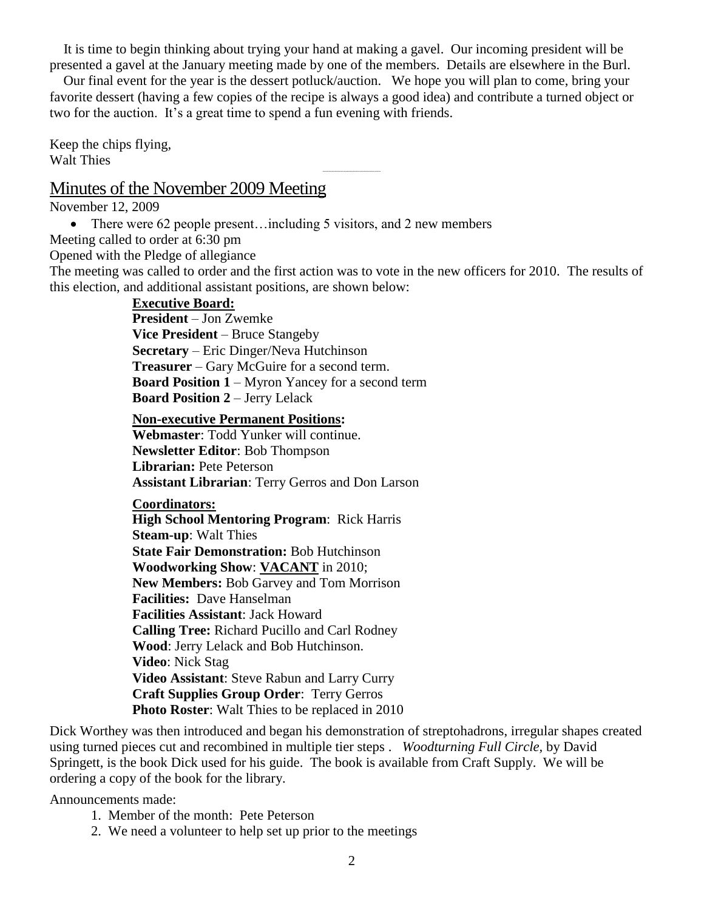It is time to begin thinking about trying your hand at making a gavel. Our incoming president will be presented a gavel at the January meeting made by one of the members. Details are elsewhere in the Burl.

 Our final event for the year is the dessert potluck/auction. We hope you will plan to come, bring your favorite dessert (having a few copies of the recipe is always a good idea) and contribute a turned object or two for the auction. It's a great time to spend a fun evening with friends.

--------------------------------------

Keep the chips flying, Walt Thies

#### Minutes of the November 2009 Meeting

November 12, 2009

• There were 62 people present...including 5 visitors, and 2 new members

Meeting called to order at 6:30 pm

Opened with the Pledge of allegiance

The meeting was called to order and the first action was to vote in the new officers for 2010. The results of this election, and additional assistant positions, are shown below:

#### **Executive Board:**

**President** – Jon Zwemke **Vice President** – Bruce Stangeby **Secretary** – Eric Dinger/Neva Hutchinson **Treasurer** – Gary McGuire for a second term. **Board Position 1** – Myron Yancey for a second term **Board Position 2** – Jerry Lelack

**Non-executive Permanent Positions: Webmaster**: Todd Yunker will continue. **Newsletter Editor**: Bob Thompson **Librarian:** Pete Peterson **Assistant Librarian**: Terry Gerros and Don Larson

**Coordinators:**

**High School Mentoring Program**: Rick Harris **Steam-up**: Walt Thies **State Fair Demonstration:** Bob Hutchinson **Woodworking Show**: **VACANT** in 2010; **New Members:** Bob Garvey and Tom Morrison **Facilities:** Dave Hanselman **Facilities Assistant**: Jack Howard **Calling Tree:** Richard Pucillo and Carl Rodney **Wood**: Jerry Lelack and Bob Hutchinson. **Video**: Nick Stag **Video Assistant**: Steve Rabun and Larry Curry **Craft Supplies Group Order**: Terry Gerros **Photo Roster**: Walt Thies to be replaced in 2010

Dick Worthey was then introduced and began his demonstration of streptohadrons, irregular shapes created using turned pieces cut and recombined in multiple tier steps . *Woodturning Full Circle,* by David Springett, is the book Dick used for his guide. The book is available from Craft Supply. We will be ordering a copy of the book for the library.

Announcements made:

- 1. Member of the month: Pete Peterson
- 2. We need a volunteer to help set up prior to the meetings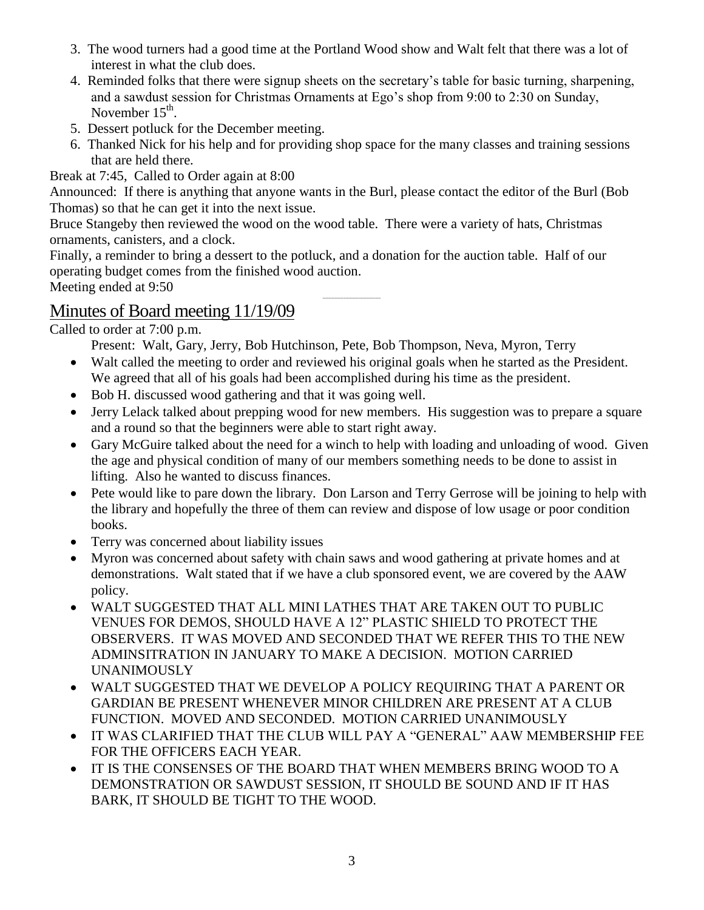- 3. The wood turners had a good time at the Portland Wood show and Walt felt that there was a lot of interest in what the club does.
- 4. Reminded folks that there were signup sheets on the secretary's table for basic turning, sharpening, and a sawdust session for Christmas Ornaments at Ego's shop from 9:00 to 2:30 on Sunday, November  $15^{\text{th}}$ .
- 5. Dessert potluck for the December meeting.
- 6. Thanked Nick for his help and for providing shop space for the many classes and training sessions that are held there.

Break at 7:45, Called to Order again at 8:00

Announced: If there is anything that anyone wants in the Burl, please contact the editor of the Burl (Bob Thomas) so that he can get it into the next issue.

Bruce Stangeby then reviewed the wood on the wood table. There were a variety of hats, Christmas ornaments, canisters, and a clock.

Finally, a reminder to bring a dessert to the potluck, and a donation for the auction table. Half of our operating budget comes from the finished wood auction.

Meeting ended at 9:50

# Minutes of Board meeting 11/19/09

Called to order at 7:00 p.m.

Present: Walt, Gary, Jerry, Bob Hutchinson, Pete, Bob Thompson, Neva, Myron, Terry

 Walt called the meeting to order and reviewed his original goals when he started as the President. We agreed that all of his goals had been accomplished during his time as the president.

--------------------------------------

- Bob H. discussed wood gathering and that it was going well.
- Jerry Lelack talked about prepping wood for new members. His suggestion was to prepare a square and a round so that the beginners were able to start right away.
- Gary McGuire talked about the need for a winch to help with loading and unloading of wood. Given the age and physical condition of many of our members something needs to be done to assist in lifting. Also he wanted to discuss finances.
- Pete would like to pare down the library. Don Larson and Terry Gerrose will be joining to help with the library and hopefully the three of them can review and dispose of low usage or poor condition books.
- Terry was concerned about liability issues
- Myron was concerned about safety with chain saws and wood gathering at private homes and at demonstrations. Walt stated that if we have a club sponsored event, we are covered by the AAW policy.
- WALT SUGGESTED THAT ALL MINI LATHES THAT ARE TAKEN OUT TO PUBLIC VENUES FOR DEMOS, SHOULD HAVE A 12" PLASTIC SHIELD TO PROTECT THE OBSERVERS. IT WAS MOVED AND SECONDED THAT WE REFER THIS TO THE NEW ADMINSITRATION IN JANUARY TO MAKE A DECISION. MOTION CARRIED UNANIMOUSLY
- WALT SUGGESTED THAT WE DEVELOP A POLICY REQUIRING THAT A PARENT OR GARDIAN BE PRESENT WHENEVER MINOR CHILDREN ARE PRESENT AT A CLUB FUNCTION. MOVED AND SECONDED. MOTION CARRIED UNANIMOUSLY
- IT WAS CLARIFIED THAT THE CLUB WILL PAY A "GENERAL" AAW MEMBERSHIP FEE FOR THE OFFICERS EACH YEAR.
- IT IS THE CONSENSES OF THE BOARD THAT WHEN MEMBERS BRING WOOD TO A DEMONSTRATION OR SAWDUST SESSION, IT SHOULD BE SOUND AND IF IT HAS BARK, IT SHOULD BE TIGHT TO THE WOOD.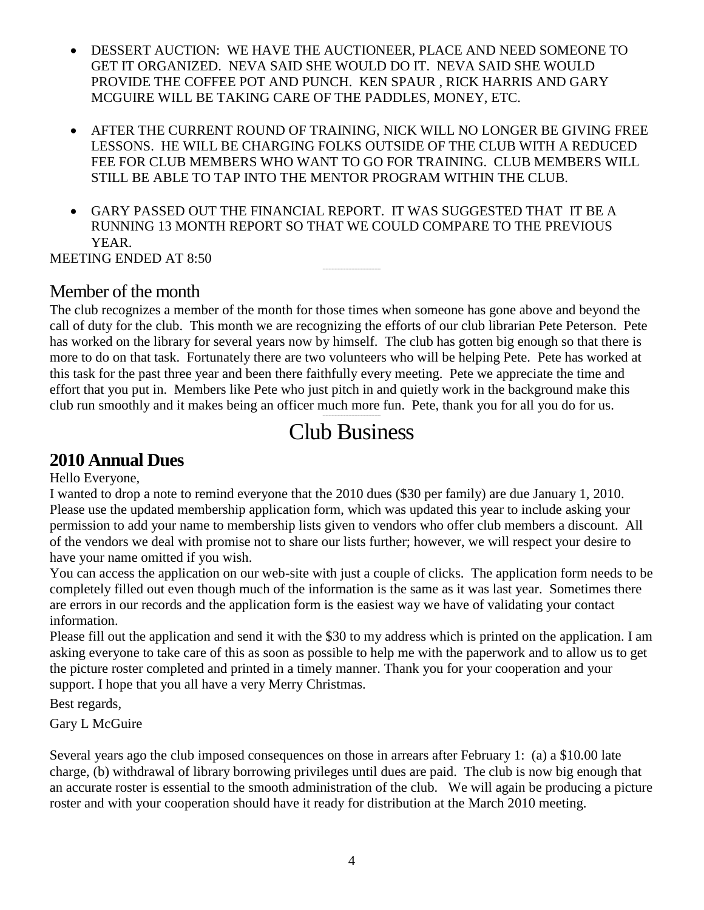- DESSERT AUCTION: WE HAVE THE AUCTIONEER, PLACE AND NEED SOMEONE TO GET IT ORGANIZED. NEVA SAID SHE WOULD DO IT. NEVA SAID SHE WOULD PROVIDE THE COFFEE POT AND PUNCH. KEN SPAUR , RICK HARRIS AND GARY MCGUIRE WILL BE TAKING CARE OF THE PADDLES, MONEY, ETC.
- AFTER THE CURRENT ROUND OF TRAINING, NICK WILL NO LONGER BE GIVING FREE LESSONS. HE WILL BE CHARGING FOLKS OUTSIDE OF THE CLUB WITH A REDUCED FEE FOR CLUB MEMBERS WHO WANT TO GO FOR TRAINING. CLUB MEMBERS WILL STILL BE ABLE TO TAP INTO THE MENTOR PROGRAM WITHIN THE CLUB.
- GARY PASSED OUT THE FINANCIAL REPORT. IT WAS SUGGESTED THAT IT BE A RUNNING 13 MONTH REPORT SO THAT WE COULD COMPARE TO THE PREVIOUS YEAR.

--------------------------------------

MEETING ENDED AT 8:50

## Member of the month

The club recognizes a member of the month for those times when someone has gone above and beyond the call of duty for the club. This month we are recognizing the efforts of our club librarian Pete Peterson. Pete has worked on the library for several years now by himself. The club has gotten big enough so that there is more to do on that task. Fortunately there are two volunteers who will be helping Pete. Pete has worked at this task for the past three year and been there faithfully every meeting. Pete we appreciate the time and effort that you put in. Members like Pete who just pitch in and quietly work in the background make this club run smoothly and it makes being an officer much more fun. Pete, thank you for all you do for us.

#### -------------------------------------- Club Business

## **2010 Annual Dues**

Hello Everyone,

I wanted to drop a note to remind everyone that the 2010 dues (\$30 per family) are due January 1, 2010. Please use the updated membership application form, which was updated this year to include asking your permission to add your name to membership lists given to vendors who offer club members a discount. All of the vendors we deal with promise not to share our lists further; however, we will respect your desire to have your name omitted if you wish.

You can access the application on our web-site with just a couple of clicks. The application form needs to be completely filled out even though much of the information is the same as it was last year. Sometimes there are errors in our records and the application form is the easiest way we have of validating your contact information.

Please fill out the application and send it with the \$30 to my address which is printed on the application. I am asking everyone to take care of this as soon as possible to help me with the paperwork and to allow us to get the picture roster completed and printed in a timely manner. Thank you for your cooperation and your support. I hope that you all have a very Merry Christmas.

Best regards,

Gary L McGuire

Several years ago the club imposed consequences on those in arrears after February 1: (a) a \$10.00 late charge, (b) withdrawal of library borrowing privileges until dues are paid. The club is now big enough that an accurate roster is essential to the smooth administration of the club. We will again be producing a picture roster and with your cooperation should have it ready for distribution at the March 2010 meeting.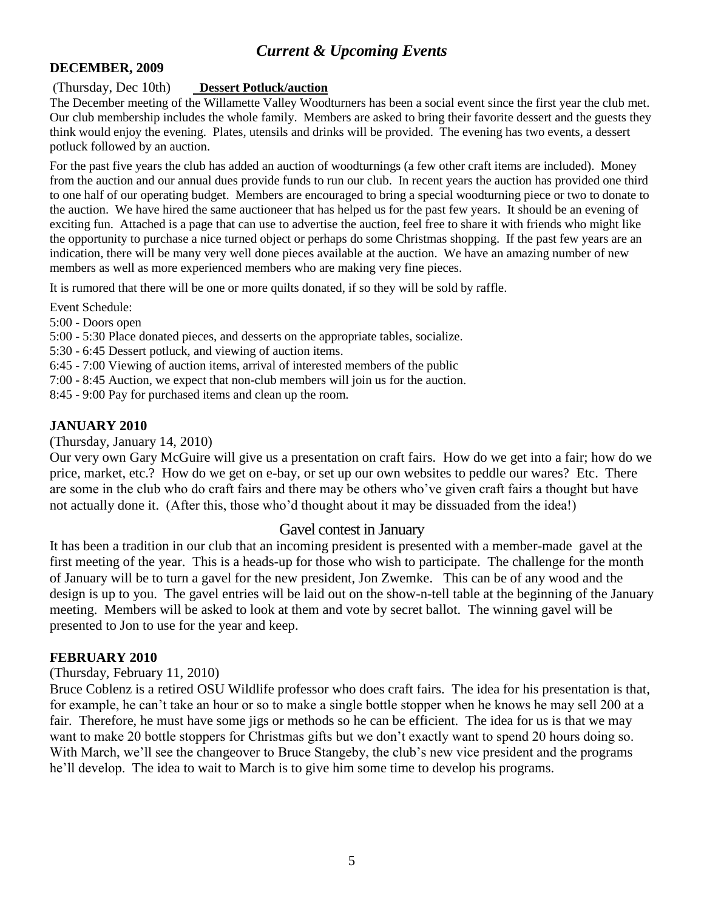### *Current & Upcoming Events*

#### **DECEMBER, 2009**

#### (Thursday, Dec 10th) **Dessert Potluck/auction**

The December meeting of the Willamette Valley Woodturners has been a social event since the first year the club met. Our club membership includes the whole family. Members are asked to bring their favorite dessert and the guests they think would enjoy the evening. Plates, utensils and drinks will be provided. The evening has two events, a dessert potluck followed by an auction.

For the past five years the club has added an auction of woodturnings (a few other craft items are included). Money from the auction and our annual dues provide funds to run our club. In recent years the auction has provided one third to one half of our operating budget. Members are encouraged to bring a special woodturning piece or two to donate to the auction. We have hired the same auctioneer that has helped us for the past few years. It should be an evening of exciting fun. Attached is a page that can use to advertise the auction, feel free to share it with friends who might like the opportunity to purchase a nice turned object or perhaps do some Christmas shopping. If the past few years are an indication, there will be many very well done pieces available at the auction. We have an amazing number of new members as well as more experienced members who are making very fine pieces.

It is rumored that there will be one or more quilts donated, if so they will be sold by raffle.

Event Schedule:

5:00 - Doors open

5:00 - 5:30 Place donated pieces, and desserts on the appropriate tables, socialize.

5:30 - 6:45 Dessert potluck, and viewing of auction items.

6:45 - 7:00 Viewing of auction items, arrival of interested members of the public

7:00 - 8:45 Auction, we expect that non-club members will join us for the auction.

8:45 - 9:00 Pay for purchased items and clean up the room.

#### **JANUARY 2010**

(Thursday, January 14, 2010)

Our very own Gary McGuire will give us a presentation on craft fairs. How do we get into a fair; how do we price, market, etc.? How do we get on e-bay, or set up our own websites to peddle our wares? Etc. There are some in the club who do craft fairs and there may be others who've given craft fairs a thought but have not actually done it. (After this, those who'd thought about it may be dissuaded from the idea!)

#### Gavel contest in January

It has been a tradition in our club that an incoming president is presented with a member-made gavel at the first meeting of the year. This is a heads-up for those who wish to participate. The challenge for the month of January will be to turn a gavel for the new president, Jon Zwemke. This can be of any wood and the design is up to you. The gavel entries will be laid out on the show-n-tell table at the beginning of the January meeting. Members will be asked to look at them and vote by secret ballot. The winning gavel will be presented to Jon to use for the year and keep.

#### **FEBRUARY 2010**

(Thursday, February 11, 2010)

Bruce Coblenz is a retired OSU Wildlife professor who does craft fairs. The idea for his presentation is that, for example, he can't take an hour or so to make a single bottle stopper when he knows he may sell 200 at a fair. Therefore, he must have some jigs or methods so he can be efficient. The idea for us is that we may want to make 20 bottle stoppers for Christmas gifts but we don't exactly want to spend 20 hours doing so. With March, we'll see the changeover to Bruce Stangeby, the club's new vice president and the programs he'll develop. The idea to wait to March is to give him some time to develop his programs.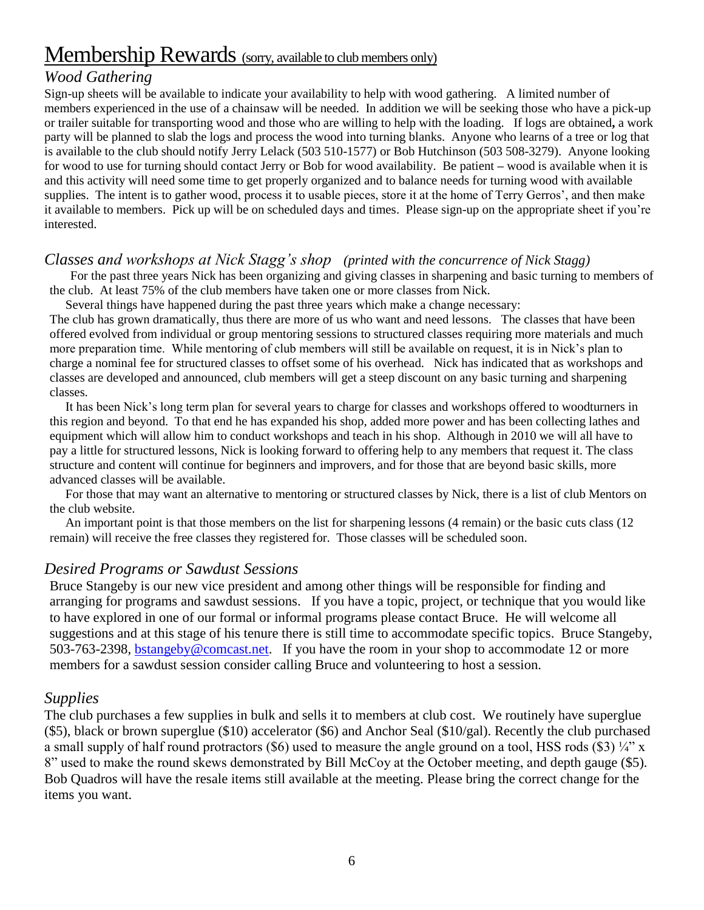# Membership Rewards (sorry, available to club members only)

#### *Wood Gathering*

Sign-up sheets will be available to indicate your availability to help with wood gathering. A limited number of members experienced in the use of a chainsaw will be needed. In addition we will be seeking those who have a pick-up or trailer suitable for transporting wood and those who are willing to help with the loading. If logs are obtained**,** a work party will be planned to slab the logs and process the wood into turning blanks. Anyone who learns of a tree or log that is available to the club should notify Jerry Lelack (503 510-1577) or Bob Hutchinson (503 508-3279). Anyone looking for wood to use for turning should contact Jerry or Bob for wood availability. Be patient **–** wood is available when it is and this activity will need some time to get properly organized and to balance needs for turning wood with available supplies. The intent is to gather wood, process it to usable pieces, store it at the home of Terry Gerros', and then make it available to members. Pick up will be on scheduled days and times. Please sign-up on the appropriate sheet if you're interested.

#### *Classes and workshops at Nick Stagg's shop (printed with the concurrence of Nick Stagg)*

 For the past three years Nick has been organizing and giving classes in sharpening and basic turning to members of the club. At least 75% of the club members have taken one or more classes from Nick.

Several things have happened during the past three years which make a change necessary:

The club has grown dramatically, thus there are more of us who want and need lessons. The classes that have been offered evolved from individual or group mentoring sessions to structured classes requiring more materials and much more preparation time. While mentoring of club members will still be available on request, it is in Nick's plan to charge a nominal fee for structured classes to offset some of his overhead. Nick has indicated that as workshops and classes are developed and announced, club members will get a steep discount on any basic turning and sharpening classes.

 It has been Nick's long term plan for several years to charge for classes and workshops offered to woodturners in this region and beyond. To that end he has expanded his shop, added more power and has been collecting lathes and equipment which will allow him to conduct workshops and teach in his shop. Although in 2010 we will all have to pay a little for structured lessons, Nick is looking forward to offering help to any members that request it. The class structure and content will continue for beginners and improvers, and for those that are beyond basic skills, more advanced classes will be available.

 For those that may want an alternative to mentoring or structured classes by Nick, there is a list of club Mentors on the club website.

 An important point is that those members on the list for sharpening lessons (4 remain) or the basic cuts class (12 remain) will receive the free classes they registered for. Those classes will be scheduled soon.

#### *Desired Programs or Sawdust Sessions*

Bruce Stangeby is our new vice president and among other things will be responsible for finding and arranging for programs and sawdust sessions. If you have a topic, project, or technique that you would like to have explored in one of our formal or informal programs please contact Bruce. He will welcome all suggestions and at this stage of his tenure there is still time to accommodate specific topics. Bruce Stangeby, 503-763-2398, [bstangeby@comcast.net.](mailto:bstangeby@comcast.net) If you have the room in your shop to accommodate 12 or more members for a sawdust session consider calling Bruce and volunteering to host a session.

#### *Supplies*

The club purchases a few supplies in bulk and sells it to members at club cost. We routinely have superglue (\$5), black or brown superglue (\$10) accelerator (\$6) and Anchor Seal (\$10/gal). Recently the club purchased a small supply of half round protractors (\$6) used to measure the angle ground on a tool, HSS rods (\$3)  $\frac{1}{4}$ " x 8" used to make the round skews demonstrated by Bill McCoy at the October meeting, and depth gauge (\$5). Bob Quadros will have the resale items still available at the meeting. Please bring the correct change for the items you want.